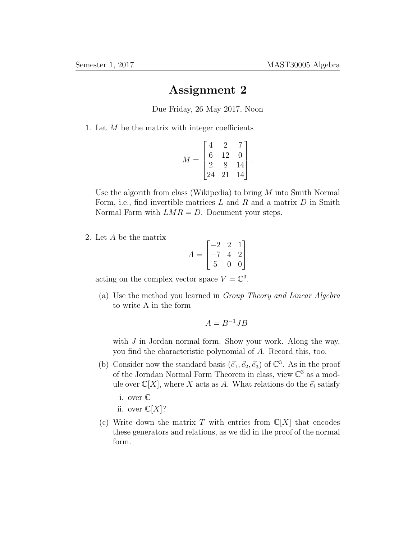## Assignment 2

Due Friday, 26 May 2017, Noon

1. Let  $M$  be the matrix with integer coefficients

$$
M = \begin{bmatrix} 4 & 2 & 7 \\ 6 & 12 & 0 \\ 2 & 8 & 14 \\ 24 & 21 & 14 \end{bmatrix}.
$$

Use the algorith from class (Wikipedia) to bring M into Smith Normal Form, i.e., find invertible matrices  $L$  and  $R$  and a matrix  $D$  in Smith Normal Form with  $LMR = D$ . Document your steps.

2. Let A be the matrix

$$
A = \begin{bmatrix} -2 & 2 & 1 \\ -7 & 4 & 2 \\ 5 & 0 & 0 \end{bmatrix}
$$

acting on the complex vector space  $V = \mathbb{C}^3$ .

(a) Use the method you learned in Group Theory and Linear Algebra to write A in the form

$$
A = B^{-1}JB
$$

with  $J$  in Jordan normal form. Show your work. Along the way, you find the characteristic polynomial of A. Record this, too.

- (b) Consider now the standard basis  $(\vec{e}_1, \vec{e}_2, \vec{e}_3)$  of  $\mathbb{C}^3$ . As in the proof of the Jorndan Normal Form Theorem in class, view  $\mathbb{C}^3$  as a module over  $\mathbb{C}[X]$ , where X acts as A. What relations do the  $\vec{e}_i$  satisfy
	- i. over C
	- ii. over  $\mathbb{C}[X]$ ?
- (c) Write down the matrix T with entries from  $\mathbb{C}[X]$  that encodes these generators and relations, as we did in the proof of the normal form.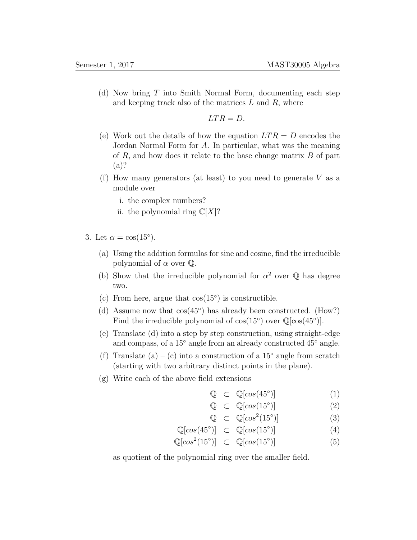(d) Now bring T into Smith Normal Form, documenting each step and keeping track also of the matrices  $L$  and  $R$ , where

$$
LTR = D.
$$

- (e) Work out the details of how the equation  $LTR = D$  encodes the Jordan Normal Form for A. In particular, what was the meaning of  $R$ , and how does it relate to the base change matrix  $B$  of part (a)?
- (f) How many generators (at least) to you need to generate  $V$  as a module over
	- i. the complex numbers?
	- ii. the polynomial ring  $\mathbb{C}[X]$ ?
- 3. Let  $\alpha = \cos(15^{\circ}).$ 
	- (a) Using the addition formulas for sine and cosine, find the irreducible polynomial of  $\alpha$  over  $\mathbb{Q}$ .
	- (b) Show that the irreducible polynomial for  $\alpha^2$  over  $\mathbb Q$  has degree two.
	- (c) From here, argue that  $cos(15^\circ)$  is constructible.
	- (d) Assume now that cos(45◦ ) has already been constructed. (How?) Find the irreducible polynomial of  $cos(15^\circ)$  over  $\mathbb{Q}[cos(45^\circ)]$ .
	- (e) Translate (d) into a step by step construction, using straight-edge and compass, of a 15◦ angle from an already constructed 45◦ angle.
	- (f) Translate (a) (c) into a construction of a 15 $\degree$  angle from scratch (starting with two arbitrary distinct points in the plane).
	- (g) Write each of the above field extensions

$$
\mathbb{Q} \quad \subset \quad \mathbb{Q}[cos(45^{\circ})] \tag{1}
$$

$$
\mathbb{Q} \quad \subset \quad \mathbb{Q}[cos(15^{\circ})] \tag{2}
$$

$$
\mathbb{Q} \quad \subset \quad \mathbb{Q}[cos^2(15^\circ)] \tag{3}
$$

$$
\mathbb{Q}[cos(45^\circ)] \quad \subset \quad \mathbb{Q}[cos(15^\circ)] \tag{4}
$$

$$
\mathbb{Q}[\cos^2(15^\circ)] \quad \subset \quad \mathbb{Q}[\cos(15^\circ)] \tag{5}
$$

as quotient of the polynomial ring over the smaller field.